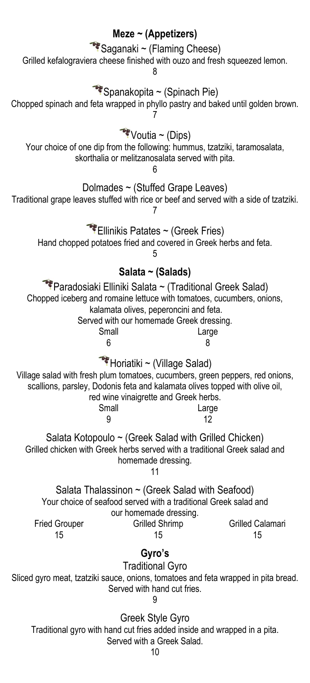## **Meze ~ (Appetizers)** Saganaki ~ (Flaming Cheese) Grilled kefalograviera cheese finished with ouzo and fresh squeezed lemon. 8  $\bullet$  Spanakopita ~ (Spinach Pie) Chopped spinach and feta wrapped in phyllo pastry and baked until golden brown. 7  $\sqrt{\phantom{a}}$ Voutia ~ (Dips) Your choice of one dip from the following: hummus, tzatziki, taramosalata, skorthalia or melitzanosalata served with pita. 6 Dolmades ~ (Stuffed Grape Leaves) Traditional grape leaves stuffed with rice or beef and served with a side of tzatziki. 7  $\bullet$  Ellinikis Patates ~ (Greek Fries) Hand chopped potatoes fried and covered in Greek herbs and feta. 5 **Salata ~ (Salads)** Paradosiaki Elliniki Salata ~ (Traditional Greek Salad) Chopped iceberg and romaine lettuce with tomatoes, cucumbers, onions, kalamata olives, peperoncini and feta. Served with our homemade Greek dressing. Small **Large** 6 8 Horiatiki ~ (Village Salad) Village salad with fresh plum tomatoes, cucumbers, green peppers, red onions, scallions, parsley, Dodonis feta and kalamata olives topped with olive oil, red wine vinaigrette and Greek herbs. Small Large 9 12 Salata Kotopoulo ~ (Greek Salad with Grilled Chicken) Grilled chicken with Greek herbs served with a traditional Greek salad and homemade dressing. 11 Salata Thalassinon  $\sim$  (Greek Salad with Seafood) Your choice of seafood served with a traditional Greek salad and our homemade dressing. Fried Grouper Grilled Shrimp Grilled Calamari 15 15 15 **Gyro's** Traditional Gyro Sliced gyro meat, tzatziki sauce, onions, tomatoes and feta wrapped in pita bread. Served with hand cut fries. 9 Greek Style Gyro Traditional gyro with hand cut fries added inside and wrapped in a pita. Served with a Greek Salad.